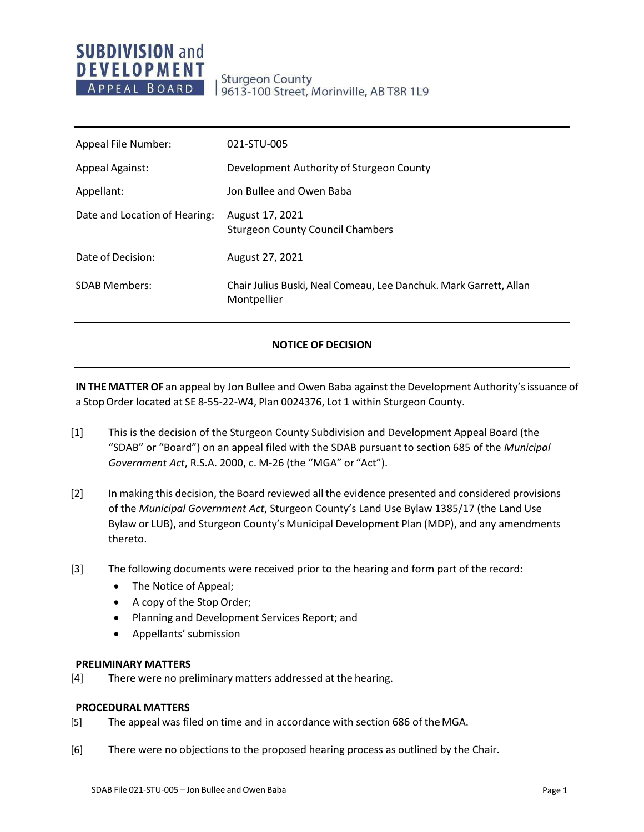# **SUBDIVISION and DEVELOPMENT** APPEAL BOARD

**Sturgeon County** 9613-100 Street, Morinville, AB T8R 1L9

| Appeal File Number:           | 021-STU-005                                                                      |
|-------------------------------|----------------------------------------------------------------------------------|
| <b>Appeal Against:</b>        | Development Authority of Sturgeon County                                         |
| Appellant:                    | Jon Bullee and Owen Baba                                                         |
| Date and Location of Hearing: | August 17, 2021<br><b>Sturgeon County Council Chambers</b>                       |
| Date of Decision:             | August 27, 2021                                                                  |
| <b>SDAB Members:</b>          | Chair Julius Buski, Neal Comeau, Lee Danchuk. Mark Garrett, Allan<br>Montpellier |

### **NOTICE OF DECISION**

**INTHEMATTER OF** an appeal by Jon Bullee and Owen Baba against the Development Authority'sissuance of a Stop Order located at SE 8-55-22-W4, Plan 0024376, Lot 1 within Sturgeon County.

- [1] This is the decision of the Sturgeon County Subdivision and Development Appeal Board (the "SDAB" or "Board") on an appeal filed with the SDAB pursuant to section 685 of the *Municipal Government Act*, R.S.A. 2000, c. M-26 (the "MGA" or "Act").
- [2] In making this decision, the Board reviewed all the evidence presented and considered provisions of the *Municipal Government Act*, Sturgeon County's Land Use Bylaw 1385/17 (the Land Use Bylaw or LUB), and Sturgeon County's Municipal Development Plan (MDP), and any amendments thereto.
- [3] The following documents were received prior to the hearing and form part of the record:
	- The Notice of Appeal;
	- A copy of the Stop Order;
	- Planning and Development Services Report; and
	- Appellants' submission

#### **PRELIMINARY MATTERS**

[4] There were no preliminary matters addressed at the hearing.

#### **PROCEDURAL MATTERS**

- [5] The appeal was filed on time and in accordance with section 686 of theMGA.
- [6] There were no objections to the proposed hearing process as outlined by the Chair.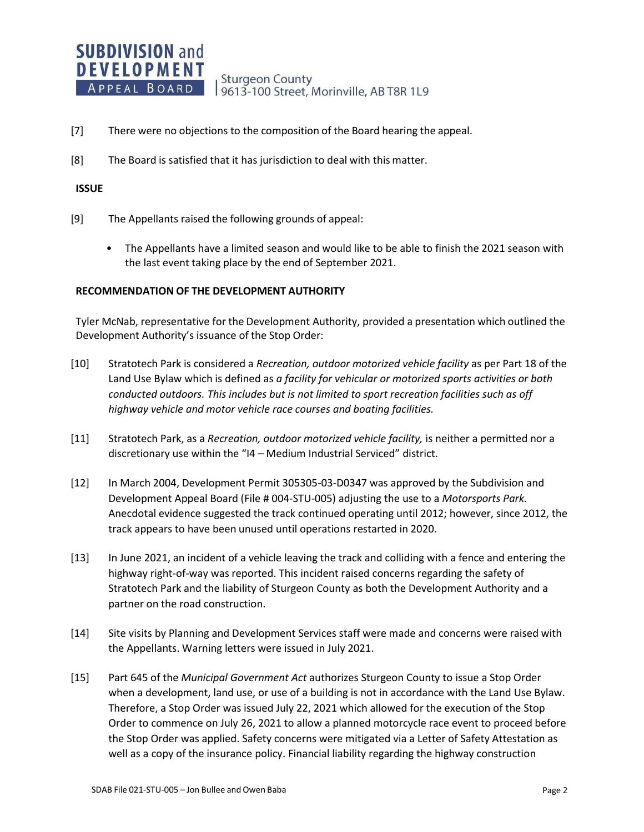**Sturgeon County** 9613-100 Street, Morinville, AB T8R 1L9

- [7] There were no objections to the composition of the Board hearing the appeal.
- [8] The Board is satisfied that it has jurisdiction to deal with this matter.

#### **ISSUE**

- [9] The Appellants raised the following grounds of appeal:
	- The Appellants have a limited season and would like to be able to finish the 2021 season with the last event taking place by the end of September 2021.

#### **RECOMMENDATION OF THE DEVELOPMENT AUTHORITY**

Tyler McNab, representative for the Development Authority, provided a presentation which outlined the Development Authority's issuance of the Stop Order:

- [10] Stratotech Park is considered a *Recreation, outdoor motorized vehicle facility* as per Part 18 of the Land Use Bylaw which is defined as *a facility for vehicular or motorized sports activities or both conducted outdoors. This includes but is not limited to sport recreation facilities such as off highway vehicle and motor vehicle race courses and boating facilities.*
- [11] Stratotech Park, as a *Recreation, outdoor motorized vehicle facility,* is neither a permitted nor a discretionary use within the "I4 – Medium Industrial Serviced" district.
- [12] In March 2004, Development Permit 305305-03-D0347 was approved by the Subdivision and Development Appeal Board (File # 004-STU-005) adjusting the use to a *Motorsports Park.* Anecdotal evidence suggested the track continued operating until 2012; however, since 2012, the track appears to have been unused until operations restarted in 2020.
- [13] In June 2021, an incident of a vehicle leaving the track and colliding with a fence and entering the highway right-of-way was reported. This incident raised concerns regarding the safety of Stratotech Park and the liability of Sturgeon County as both the Development Authority and a partner on the road construction.
- [14] Site visits by Planning and Development Services staff were made and concerns were raised with the Appellants. Warning letters were issued in July 2021.
- [15] Part 645 of the *Municipal Government Act* authorizes Sturgeon County to issue a Stop Order when a development, land use, or use of a building is not in accordance with the Land Use Bylaw. Therefore, a Stop Order was issued July 22, 2021 which allowed for the execution of the Stop Order to commence on July 26, 2021 to allow a planned motorcycle race event to proceed before the Stop Order was applied. Safety concerns were mitigated via a Letter of Safety Attestation as well as a copy of the insurance policy. Financial liability regarding the highway construction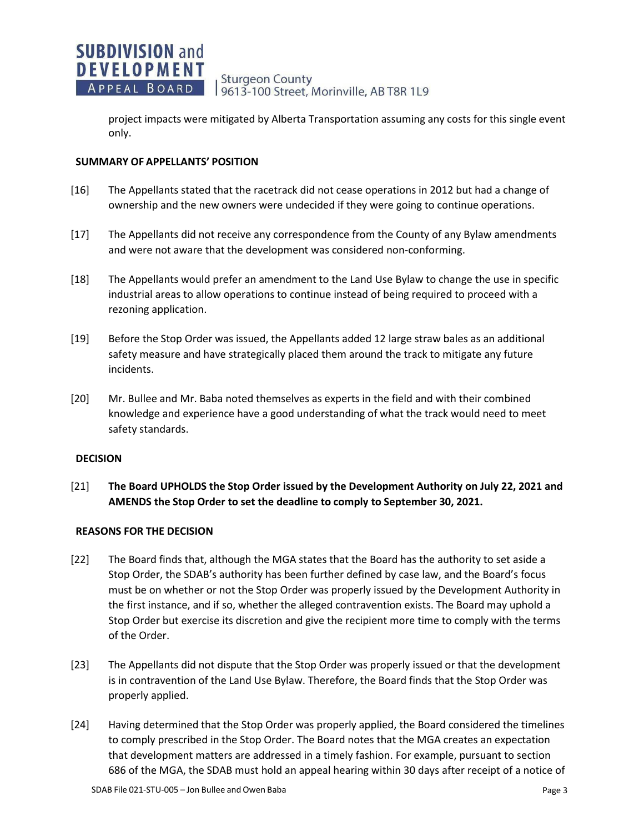project impacts were mitigated by Alberta Transportation assuming any costs for this single event only.

# **SUMMARY OF APPELLANTS' POSITION**

- [16] The Appellants stated that the racetrack did not cease operations in 2012 but had a change of ownership and the new owners were undecided if they were going to continue operations.
- [17] The Appellants did not receive any correspondence from the County of any Bylaw amendments and were not aware that the development was considered non-conforming.
- [18] The Appellants would prefer an amendment to the Land Use Bylaw to change the use in specific industrial areas to allow operations to continue instead of being required to proceed with a rezoning application.
- [19] Before the Stop Order was issued, the Appellants added 12 large straw bales as an additional safety measure and have strategically placed them around the track to mitigate any future incidents.
- [20] Mr. Bullee and Mr. Baba noted themselves as experts in the field and with their combined knowledge and experience have a good understanding of what the track would need to meet safety standards.

### **DECISION**

[21] **The Board UPHOLDS the Stop Order issued by the Development Authority on July 22, 2021 and AMENDS the Stop Order to set the deadline to comply to September 30, 2021.**

# **REASONS FOR THE DECISION**

- [22] The Board finds that, although the MGA states that the Board has the authority to set aside a Stop Order, the SDAB's authority has been further defined by case law, and the Board's focus must be on whether or not the Stop Order was properly issued by the Development Authority in the first instance, and if so, whether the alleged contravention exists. The Board may uphold a Stop Order but exercise its discretion and give the recipient more time to comply with the terms of the Order.
- [23] The Appellants did not dispute that the Stop Order was properly issued or that the development is in contravention of the Land Use Bylaw. Therefore, the Board finds that the Stop Order was properly applied.
- [24] Having determined that the Stop Order was properly applied, the Board considered the timelines to comply prescribed in the Stop Order. The Board notes that the MGA creates an expectation that development matters are addressed in a timely fashion. For example, pursuant to section 686 of the MGA, the SDAB must hold an appeal hearing within 30 days after receipt of a notice of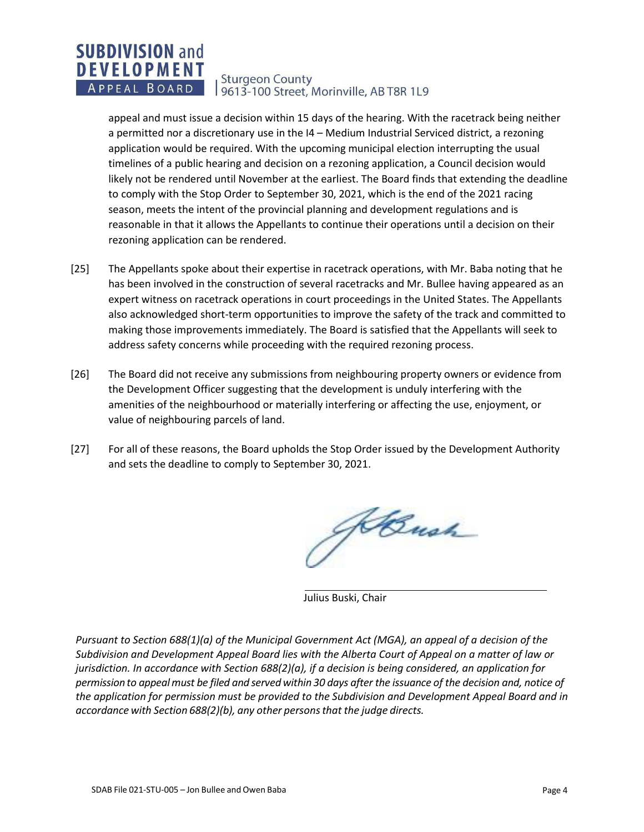#### **SUBDIVISION and DEVELOPMENT Sturgeon County** APPEAL BOARD 9613-100 Street, Morinville, AB T8R 1L9

appeal and must issue a decision within 15 days of the hearing. With the racetrack being neither a permitted nor a discretionary use in the I4 – Medium Industrial Serviced district, a rezoning application would be required. With the upcoming municipal election interrupting the usual timelines of a public hearing and decision on a rezoning application, a Council decision would likely not be rendered until November at the earliest. The Board finds that extending the deadline to comply with the Stop Order to September 30, 2021, which is the end of the 2021 racing season, meets the intent of the provincial planning and development regulations and is reasonable in that it allows the Appellants to continue their operations until a decision on their rezoning application can be rendered.

- [25] The Appellants spoke about their expertise in racetrack operations, with Mr. Baba noting that he has been involved in the construction of several racetracks and Mr. Bullee having appeared as an expert witness on racetrack operations in court proceedings in the United States. The Appellants also acknowledged short-term opportunities to improve the safety of the track and committed to making those improvements immediately. The Board is satisfied that the Appellants will seek to address safety concerns while proceeding with the required rezoning process.
- [26] The Board did not receive any submissions from neighbouring property owners or evidence from the Development Officer suggesting that the development is unduly interfering with the amenities of the neighbourhood or materially interfering or affecting the use, enjoyment, or value of neighbouring parcels of land.
- [27] For all of these reasons, the Board upholds the Stop Order issued by the Development Authority and sets the deadline to comply to September 30, 2021.

ABush

Julius Buski, Chair

*Pursuant to Section 688(1)(a) of the Municipal Government Act (MGA), an appeal of a decision of the Subdivision and Development Appeal Board lies with the Alberta Court of Appeal on a matter of law or jurisdiction. In accordance with Section 688(2)(a), if a decision is being considered, an application for* permission to appeal must be filed and served within 30 days after the issuance of the decision and, notice of *the application for permission must be provided to the Subdivision and Development Appeal Board and in accordance with Section 688(2)(b), any other personsthat the judge directs.*